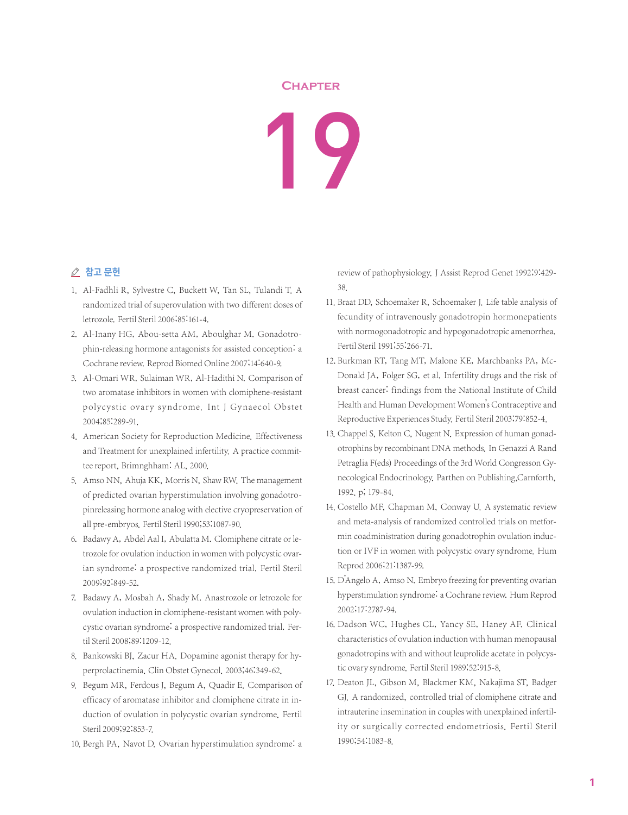## **Chapter**

## 19

## △ 참고 문헌

- 1. Al-Fadhli R, Sylvestre C, Buckett W, Tan SL, Tulandi T. A randomized trial of superovulation with two different doses of letrozole. Fertil Steril 2006;85:161-4.
- 2. Al-Inany HG, Abou-setta AM, Aboulghar M. Gonadotrophin-releasing hormone antagonists for assisted conception: a Cochrane review. Reprod Biomed Online 2007;14:640-9.
- 3. Al-Omari WR, Sulaiman WR, Al-Hadithi N. Comparison of two aromatase inhibitors in women with clomiphene-resistant polycystic ovary syndrome. Int J Gynaecol Obstet 2004;85:289-91.
- 4. American Society for Reproduction Medicine. Effectiveness and Treatment for unexplained infertility. A practice committee report, Brimnghham: AL, 2000.
- 5. Amso NN, Ahuja KK, Morris N, Shaw RW. The management of predicted ovarian hyperstimulation involving gonadotropinreleasing hormone analog with elective cryopreservation of all pre-embryos. Fertil Steril 1990;53:1087-90.
- 6. Badawy A, Abdel Aal I, Abulatta M. Clomiphene citrate or letrozole for ovulation induction in women with polycystic ovarian syndrome: a prospective randomized trial. Fertil Steril 2009;92:849-52.
- 7. Badawy A, Mosbah A, Shady M. Anastrozole or letrozole for ovulation induction in clomiphene-resistant women with polycystic ovarian syndrome: a prospective randomized trial. Fertil Steril 2008;89:1209-12.
- 8. Bankowski BJ, Zacur HA. Dopamine agonist therapy for hyperprolactinemia. Clin Obstet Gynecol. 2003;46:349-62.
- 9. Begum MR, Ferdous J, Begum A, Quadir E. Comparison of efficacy of aromatase inhibitor and clomiphene citrate in induction of ovulation in polycystic ovarian syndrome. Fertil Steril 2009;92:853-7.
- 10. Bergh PA, Navot D. Ovarian hyperstimulation syndrome: a

review of pathophysiology. J Assist Reprod Genet 1992;9:429- 38.

- 11. Braat DD, Schoemaker R, Schoemaker J. Life table analysis of fecundity of intravenously gonadotropin hormonepatients with normogonadotropic and hypogonadotropic amenorrhea. Fertil Steril 1991;55:266-71.
- 12. Burkman RT, Tang MT, Malone KE, Marchbanks PA, Mc-Donald JA, Folger SG, et al. Infertility drugs and the risk of breast cancer: findings from the National Institute of Child Health and Human Development Women's Contraceptive and Reproductive Experiences Study. Fertil Steril 2003;79:852-4.
- 13. Chappel S, Kelton C, Nugent N. Expression of human gonadotrophins by recombinant DNA methods. In Genazzi A Rand Petraglia F(eds) Proceedings of the 3rd World Congresson Gynecological Endocrinology. Parthen on Publishing,Carnforth, 1992. p; 179-84.
- 14. Costello MF, Chapman M, Conway U. A systematic review and meta-analysis of randomized controlled trials on metformin coadministration during gonadotrophin ovulation induction or IVF in women with polycystic ovary syndrome. Hum Reprod 2006;21:1387-99.
- 15. D'Angelo A, Amso N. Embryo freezing for preventing ovarian hyperstimulation syndrome: a Cochrane review. Hum Reprod 2002;17:2787-94.
- 16. Dadson WC, Hughes CL, Yancy SE, Haney AF. Clinical characteristics of ovulation induction with human menopausal gonadotropins with and without leuprolide acetate in polycystic ovary syndrome. Fertil Steril 1989;52:915-8.
- 17. Deaton JL, Gibson M, Blackmer KM, Nakajima ST, Badger GJ. A randomized, controlled trial of clomiphene citrate and intrauterine insemination in couples with unexplained infertility or surgically corrected endometriosis. Fertil Steril 1990;54:1083-8.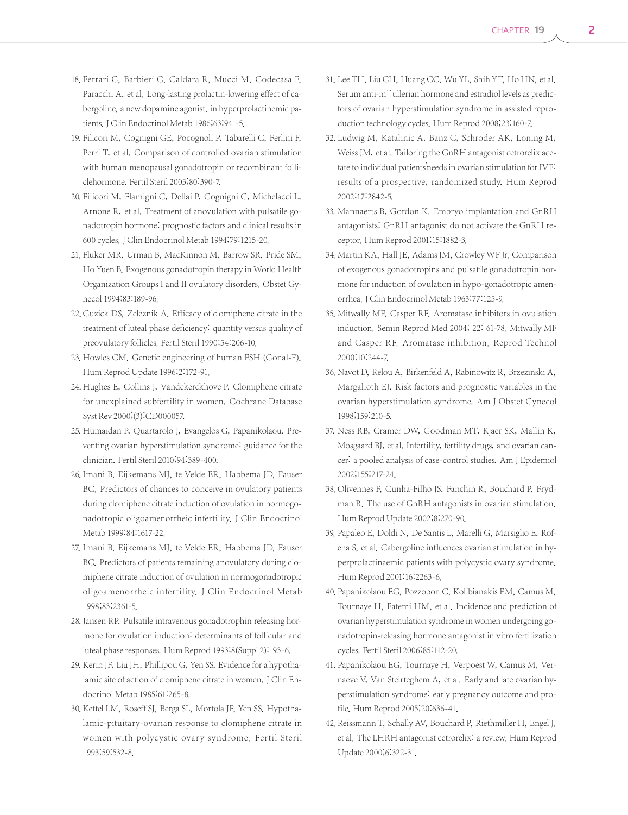- 18. Ferrari C, Barbieri C, Caldara R, Mucci M, Codecasa F, Paracchi A, et al. Long-lasting prolactin-lowering effect of cabergoline, a new dopamine agonist, in hyperprolactinemic patients. J Clin Endocrinol Metab 1986;63:941-5.
- 19. Filicori M, Cognigni GE, Pocognoli P, Tabarelli C, Ferlini F, Perri T, et al. Comparison of controlled ovarian stimulation with human menopausal gonadotropin or recombinant folliclehormone. Fertil Steril 2003;80:390-7.
- 20. Filicori M, Flamigni C, Dellai P, Cognigni G, Michelacci L, Arnone R, et al. Treatment of anovulation with pulsatile gonadotropin hormone: prognostic factors and clinical results in 600 cycles.J Clin Endocrinol Metab 1994;79:1215-20.
- 21. Fluker MR, Urman B, MacKinnon M, Barrow SR, Pride SM, Ho Yuen B. Exogenous gonadotropin therapy in World Health Organization Groups I and II ovulatory disorders. Obstet Gynecol 1994;83:189-96.
- 22. Guzick DS, Zeleznik A. Efficacy of clomiphene citrate in the treatment of luteal phase deficiency: quantity versus quality of preovulatory follicles. Fertil Steril 1990;54:206-10.
- 23. Howles CM. Genetic engineering of human FSH (Gonal-F). Hum Reprod Update 1996;2:172-91.
- 24. Hughes E, Collins J, Vandekerckhove P. Clomiphene citrate for unexplained subfertility in women. Cochrane Database Syst Rev 2000;(3):CD000057.
- 25. Humaidan P, Quartarolo J, Evangelos G, Papanikolaou. Preventing ovarian hyperstimulation syndrome: guidance for the clinician. Fertil Steril 2010;94:389-400.
- 26. Imani B, Eijkemans MJ, te Velde ER, Habbema JD, Fauser BC. Predictors of chances to conceive in ovulatory patients during clomiphene citrate induction of ovulation in normogonadotropic oligoamenorrheic infertility. J Clin Endocrinol Metab 1999;84:1617-22.
- 27. Imani B, Eijkemans MJ, te Velde ER, Habbema JD, Fauser BC. Predictors of patients remaining anovulatory during clomiphene citrate induction of ovulation in normogonadotropic oligoamenorrheic infertility. J Clin Endocrinol Metab 1998;83:2361-5.
- 28. Jansen RP. Pulsatile intravenous gonadotrophin releasing hormone for ovulation induction: determinants of follicular and luteal phase responses. Hum Reprod 1993;8(Suppl 2):193-6.
- 29. Kerin JF, Liu JH, Phillipou G, Yen SS. Evidence for a hypothalamic site of action of clomiphene citrate in women. J Clin Endocrinol Metab 1985;61:265-8.
- 30. Kettel LM, Roseff SJ, Berga SL, Mortola JF, Yen SS. Hypothalamic-pituitary-ovarian response to clomiphene citrate in women with polycystic ovary syndrome. Fertil Steril 1993;59:532-8.
- 31. Lee TH, Liu CH, Huang CC, Wu YL, Shih YT, Ho HN, et al. Serum anti-m<sup>\*\*</sup>ullerian hormone and estradiol levels as predictors of ovarian hyperstimulation syndrome in assisted reproduction technology cycles. Hum Reprod 2008;23:160-7.
- 32. Ludwig M, Katalinic A, Banz C, Schroder AK, Loning M, Weiss JM, et al. Tailoring the GnRH antagonist cetrorelix acetate to individual patients'needs in ovarian stimulation for IVF: results of a prospective, randomized study. Hum Reprod 2002;17:2842-5.
- 33. Mannaerts B, Gordon K. Embryo implantation and GnRH antagonists: GnRH antagonist do not activate the GnRH receptor. Hum Reprod 2001;15:1882-3.
- 34. Martin KA, Hall JE, Adams JM, Crowley WF Jr. Comparison of exogenous gonadotropins and pulsatile gonadotropin hormone for induction of ovulation in hypo-gonadotropic amenorrhea.J Clin Endocrinol Metab 1963;77:125-9.
- 35. Mitwally MF, Casper RF. Aromatase inhibitors in ovulation induction. Semin Reprod Med 2004; 22: 61-78. Mitwally MF and Casper RF. Aromatase inhibition. Reprod Technol 2000;10:244-7.
- 36. Navot D, Relou A, Birkenfeld A, Rabinowitz R, Brzezinski A, Margalioth EJ. Risk factors and prognostic variables in the ovarian hyperstimulation syndrome. Am J Obstet Gynecol 1998;159:210-5.
- 37. Ness RB, Cramer DW, Goodman MT, Kjaer SK, Mallin K, Mosgaard BJ, et al. Infertility, fertility drugs, and ovarian cancer: a pooled analysis of case-control studies. Am J Epidemiol 2002;155:217-24.
- 38. Olivennes F, Cunha-Filho JS, Fanchin R, Bouchard P, Frydman R. The use of GnRH antagonists in ovarian stimulation. Hum Reprod Update 2002;8:270-90.
- 39. Papaleo E, Doldi N, De Santis L, Marelli G, Marsiglio E, Rofena S, et al. Cabergoline influences ovarian stimulation in hyperprolactinaemic patients with polycystic ovary syndrome. Hum Reprod 2001;16:2263-6.
- 40. Papanikolaou EG, Pozzobon C, Kolibianakis EM, Camus M, Tournaye H, Fatemi HM, et al. Incidence and prediction of ovarian hyperstimulation syndrome in women undergoing gonadotropin-releasing hormone antagonist in vitro fertilization cycles. Fertil Steril 2006;85:112-20.
- 41. Papanikolaou EG, Tournaye H, Verpoest W, Camus M, Vernaeve V, Van Steirteghem A, et al. Early and late ovarian hyperstimulation syndrome: early pregnancy outcome and profile. Hum Reprod 2005;20:636-41.
- 42. Reissmann T, Schally AV, Bouchard P, Riethmiller H, Engel J. et al. The LHRH antagonist cetrorelix: a review. Hum Reprod Update 2000;6:322-31.